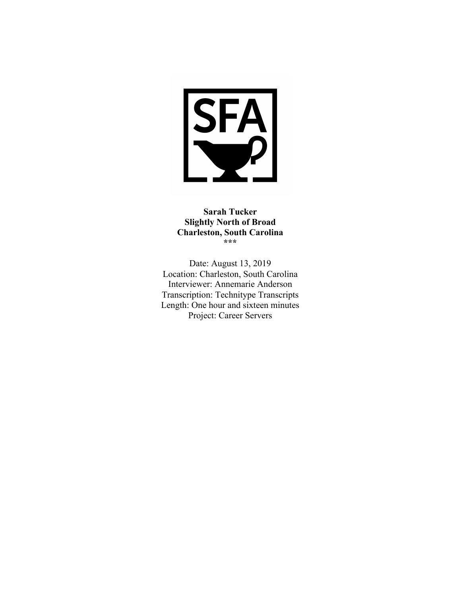

# **Sarah Tucker Slightly North of Broad Charleston, South Carolina \*\*\***

Date: August 13, 2019 Location: Charleston, South Carolina Interviewer: Annemarie Anderson Transcription: Technitype Transcripts Length: One hour and sixteen minutes Project: Career Servers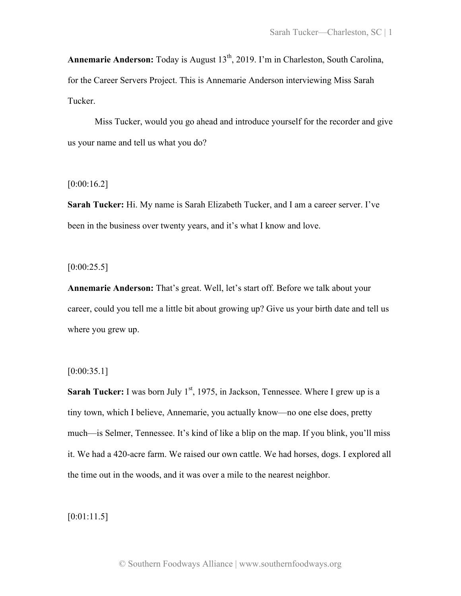**Annemarie Anderson:** Today is August 13<sup>th</sup>, 2019. I'm in Charleston, South Carolina, for the Career Servers Project. This is Annemarie Anderson interviewing Miss Sarah Tucker.

Miss Tucker, would you go ahead and introduce yourself for the recorder and give us your name and tell us what you do?

# [0:00:16.2]

**Sarah Tucker:** Hi. My name is Sarah Elizabeth Tucker, and I am a career server. I've been in the business over twenty years, and it's what I know and love.

 $[0:00:25.5]$ 

**Annemarie Anderson:** That's great. Well, let's start off. Before we talk about your career, could you tell me a little bit about growing up? Give us your birth date and tell us where you grew up.

## $[0:00:35.1]$

**Sarah Tucker:** I was born July  $1<sup>st</sup>$ , 1975, in Jackson, Tennessee. Where I grew up is a tiny town, which I believe, Annemarie, you actually know—no one else does, pretty much—is Selmer, Tennessee. It's kind of like a blip on the map. If you blink, you'll miss it. We had a 420-acre farm. We raised our own cattle. We had horses, dogs. I explored all the time out in the woods, and it was over a mile to the nearest neighbor.

[0:01:11.5]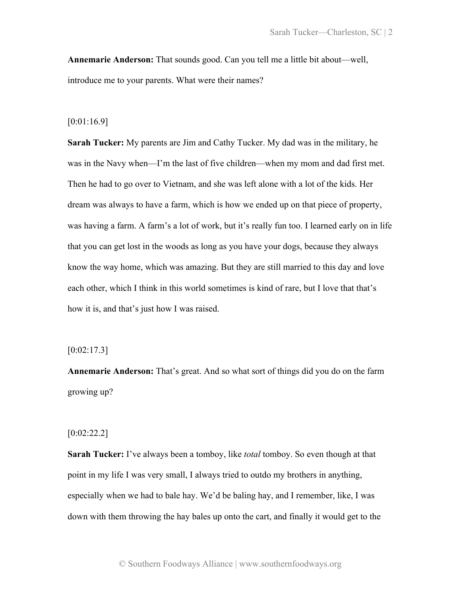**Annemarie Anderson:** That sounds good. Can you tell me a little bit about—well, introduce me to your parents. What were their names?

#### [0:01:16.9]

**Sarah Tucker:** My parents are Jim and Cathy Tucker. My dad was in the military, he was in the Navy when—I'm the last of five children—when my mom and dad first met. Then he had to go over to Vietnam, and she was left alone with a lot of the kids. Her dream was always to have a farm, which is how we ended up on that piece of property, was having a farm. A farm's a lot of work, but it's really fun too. I learned early on in life that you can get lost in the woods as long as you have your dogs, because they always know the way home, which was amazing. But they are still married to this day and love each other, which I think in this world sometimes is kind of rare, but I love that that's how it is, and that's just how I was raised.

### $[0:02:17.3]$

**Annemarie Anderson:** That's great. And so what sort of things did you do on the farm growing up?

### [0:02:22.2]

**Sarah Tucker:** I've always been a tomboy, like *total* tomboy. So even though at that point in my life I was very small, I always tried to outdo my brothers in anything, especially when we had to bale hay. We'd be baling hay, and I remember, like, I was down with them throwing the hay bales up onto the cart, and finally it would get to the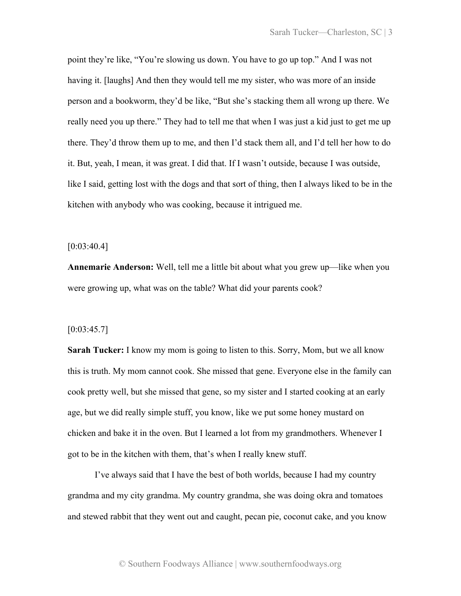point they're like, "You're slowing us down. You have to go up top." And I was not having it. [laughs] And then they would tell me my sister, who was more of an inside person and a bookworm, they'd be like, "But she's stacking them all wrong up there. We really need you up there." They had to tell me that when I was just a kid just to get me up there. They'd throw them up to me, and then I'd stack them all, and I'd tell her how to do it. But, yeah, I mean, it was great. I did that. If I wasn't outside, because I was outside, like I said, getting lost with the dogs and that sort of thing, then I always liked to be in the kitchen with anybody who was cooking, because it intrigued me.

### $[0:03:40.4]$

**Annemarie Anderson:** Well, tell me a little bit about what you grew up—like when you were growing up, what was on the table? What did your parents cook?

#### $[0:03:45.7]$

**Sarah Tucker:** I know my mom is going to listen to this. Sorry, Mom, but we all know this is truth. My mom cannot cook. She missed that gene. Everyone else in the family can cook pretty well, but she missed that gene, so my sister and I started cooking at an early age, but we did really simple stuff, you know, like we put some honey mustard on chicken and bake it in the oven. But I learned a lot from my grandmothers. Whenever I got to be in the kitchen with them, that's when I really knew stuff.

I've always said that I have the best of both worlds, because I had my country grandma and my city grandma. My country grandma, she was doing okra and tomatoes and stewed rabbit that they went out and caught, pecan pie, coconut cake, and you know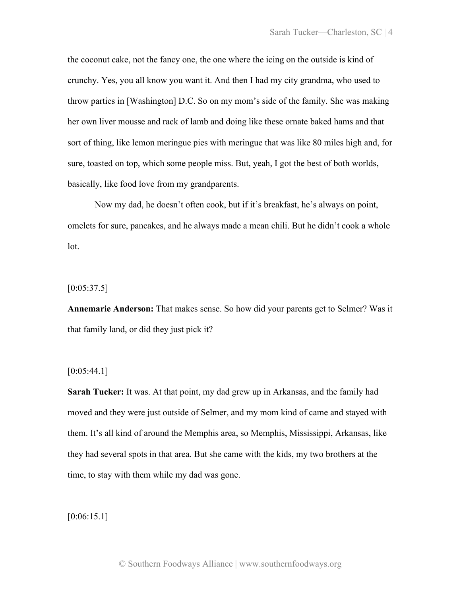the coconut cake, not the fancy one, the one where the icing on the outside is kind of crunchy. Yes, you all know you want it. And then I had my city grandma, who used to throw parties in [Washington] D.C. So on my mom's side of the family. She was making her own liver mousse and rack of lamb and doing like these ornate baked hams and that sort of thing, like lemon meringue pies with meringue that was like 80 miles high and, for sure, toasted on top, which some people miss. But, yeah, I got the best of both worlds, basically, like food love from my grandparents.

Now my dad, he doesn't often cook, but if it's breakfast, he's always on point, omelets for sure, pancakes, and he always made a mean chili. But he didn't cook a whole lot.

# $[0:05:37.5]$

**Annemarie Anderson:** That makes sense. So how did your parents get to Selmer? Was it that family land, or did they just pick it?

### $[0:05:44.1]$

**Sarah Tucker:** It was. At that point, my dad grew up in Arkansas, and the family had moved and they were just outside of Selmer, and my mom kind of came and stayed with them. It's all kind of around the Memphis area, so Memphis, Mississippi, Arkansas, like they had several spots in that area. But she came with the kids, my two brothers at the time, to stay with them while my dad was gone.

 $[0:06:15.1]$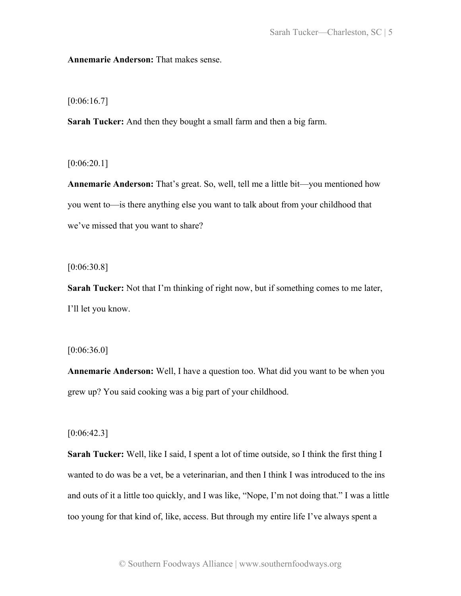**Annemarie Anderson:** That makes sense.

[0:06:16.7]

**Sarah Tucker:** And then they bought a small farm and then a big farm.

 $[0:06:20.1]$ 

**Annemarie Anderson:** That's great. So, well, tell me a little bit—you mentioned how you went to—is there anything else you want to talk about from your childhood that we've missed that you want to share?

[0:06:30.8]

**Sarah Tucker:** Not that I'm thinking of right now, but if something comes to me later, I'll let you know.

[0:06:36.0]

**Annemarie Anderson:** Well, I have a question too. What did you want to be when you grew up? You said cooking was a big part of your childhood.

 $[0:06:42.3]$ 

**Sarah Tucker:** Well, like I said, I spent a lot of time outside, so I think the first thing I wanted to do was be a vet, be a veterinarian, and then I think I was introduced to the ins and outs of it a little too quickly, and I was like, "Nope, I'm not doing that." I was a little too young for that kind of, like, access. But through my entire life I've always spent a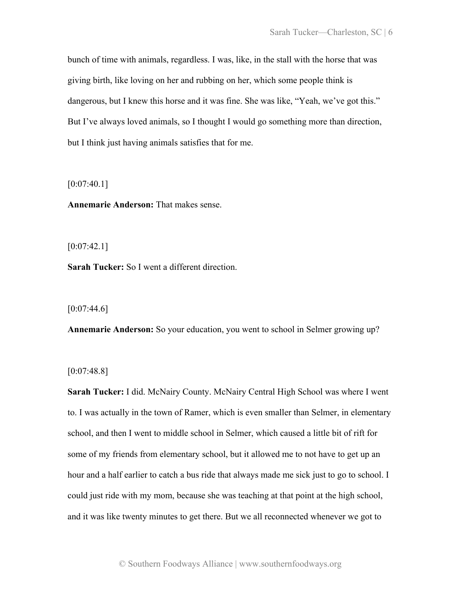bunch of time with animals, regardless. I was, like, in the stall with the horse that was giving birth, like loving on her and rubbing on her, which some people think is dangerous, but I knew this horse and it was fine. She was like, "Yeah, we've got this." But I've always loved animals, so I thought I would go something more than direction, but I think just having animals satisfies that for me.

 $[0:07:40.1]$ 

**Annemarie Anderson:** That makes sense.

 $[0:07:42.1]$ 

**Sarah Tucker:** So I went a different direction.

 $[0:07:44.6]$ 

**Annemarie Anderson:** So your education, you went to school in Selmer growing up?

[0:07:48.8]

**Sarah Tucker:** I did. McNairy County. McNairy Central High School was where I went to. I was actually in the town of Ramer, which is even smaller than Selmer, in elementary school, and then I went to middle school in Selmer, which caused a little bit of rift for some of my friends from elementary school, but it allowed me to not have to get up an hour and a half earlier to catch a bus ride that always made me sick just to go to school. I could just ride with my mom, because she was teaching at that point at the high school, and it was like twenty minutes to get there. But we all reconnected whenever we got to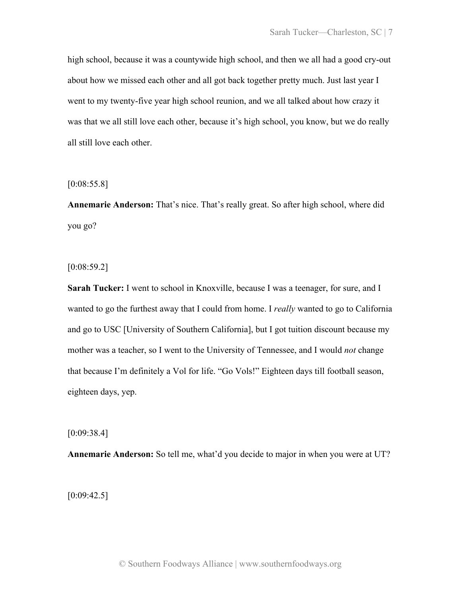high school, because it was a countywide high school, and then we all had a good cry-out about how we missed each other and all got back together pretty much. Just last year I went to my twenty-five year high school reunion, and we all talked about how crazy it was that we all still love each other, because it's high school, you know, but we do really all still love each other.

[0:08:55.8]

**Annemarie Anderson:** That's nice. That's really great. So after high school, where did you go?

 $[0:08:59.2]$ 

**Sarah Tucker:** I went to school in Knoxville, because I was a teenager, for sure, and I wanted to go the furthest away that I could from home. I *really* wanted to go to California and go to USC [University of Southern California], but I got tuition discount because my mother was a teacher, so I went to the University of Tennessee, and I would *not* change that because I'm definitely a Vol for life. "Go Vols!" Eighteen days till football season, eighteen days, yep.

[0:09:38.4]

**Annemarie Anderson:** So tell me, what'd you decide to major in when you were at UT?

 $[0:09:42.5]$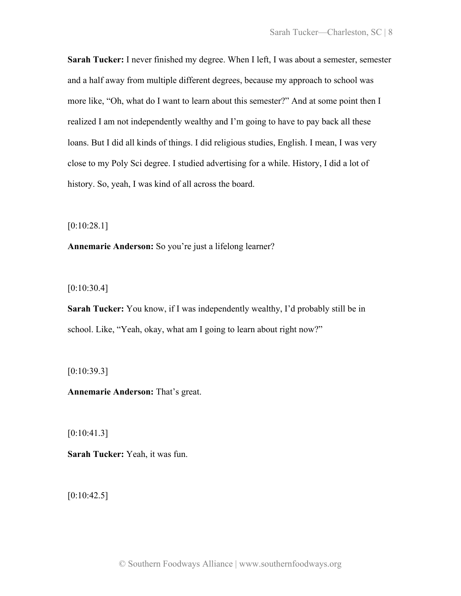**Sarah Tucker:** I never finished my degree. When I left, I was about a semester, semester and a half away from multiple different degrees, because my approach to school was more like, "Oh, what do I want to learn about this semester?" And at some point then I realized I am not independently wealthy and I'm going to have to pay back all these loans. But I did all kinds of things. I did religious studies, English. I mean, I was very close to my Poly Sci degree. I studied advertising for a while. History, I did a lot of history. So, yeah, I was kind of all across the board.

[0:10:28.1]

**Annemarie Anderson:** So you're just a lifelong learner?

[0:10:30.4]

**Sarah Tucker:** You know, if I was independently wealthy, I'd probably still be in school. Like, "Yeah, okay, what am I going to learn about right now?"

 $[0:10:39.3]$ 

**Annemarie Anderson:** That's great.

 $[0:10:41.3]$ 

**Sarah Tucker:** Yeah, it was fun.

 $[0:10:42.5]$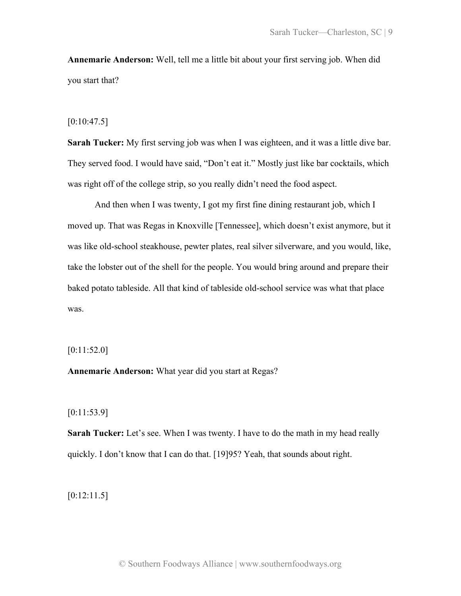**Annemarie Anderson:** Well, tell me a little bit about your first serving job. When did you start that?

### $[0:10:47.5]$

**Sarah Tucker:** My first serving job was when I was eighteen, and it was a little dive bar. They served food. I would have said, "Don't eat it." Mostly just like bar cocktails, which was right off of the college strip, so you really didn't need the food aspect.

And then when I was twenty, I got my first fine dining restaurant job, which I moved up. That was Regas in Knoxville [Tennessee], which doesn't exist anymore, but it was like old-school steakhouse, pewter plates, real silver silverware, and you would, like, take the lobster out of the shell for the people. You would bring around and prepare their baked potato tableside. All that kind of tableside old-school service was what that place was.

[0:11:52.0]

**Annemarie Anderson:** What year did you start at Regas?

[0:11:53.9]

**Sarah Tucker:** Let's see. When I was twenty. I have to do the math in my head really quickly. I don't know that I can do that. [19]95? Yeah, that sounds about right.

[0:12:11.5]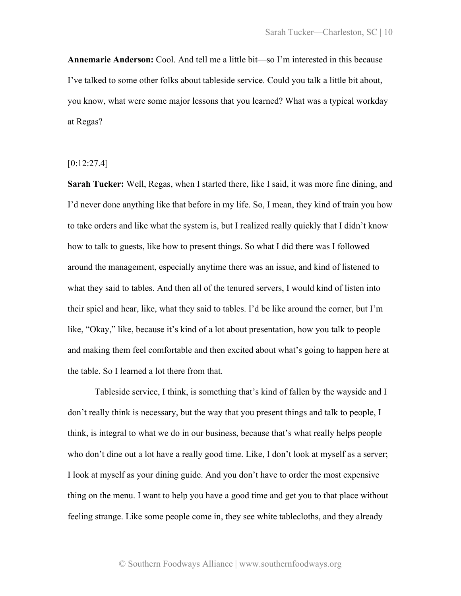**Annemarie Anderson:** Cool. And tell me a little bit—so I'm interested in this because I've talked to some other folks about tableside service. Could you talk a little bit about, you know, what were some major lessons that you learned? What was a typical workday at Regas?

 $[0:12:27.4]$ 

**Sarah Tucker:** Well, Regas, when I started there, like I said, it was more fine dining, and I'd never done anything like that before in my life. So, I mean, they kind of train you how to take orders and like what the system is, but I realized really quickly that I didn't know how to talk to guests, like how to present things. So what I did there was I followed around the management, especially anytime there was an issue, and kind of listened to what they said to tables. And then all of the tenured servers, I would kind of listen into their spiel and hear, like, what they said to tables. I'd be like around the corner, but I'm like, "Okay," like, because it's kind of a lot about presentation, how you talk to people and making them feel comfortable and then excited about what's going to happen here at the table. So I learned a lot there from that.

Tableside service, I think, is something that's kind of fallen by the wayside and I don't really think is necessary, but the way that you present things and talk to people, I think, is integral to what we do in our business, because that's what really helps people who don't dine out a lot have a really good time. Like, I don't look at myself as a server; I look at myself as your dining guide. And you don't have to order the most expensive thing on the menu. I want to help you have a good time and get you to that place without feeling strange. Like some people come in, they see white tablecloths, and they already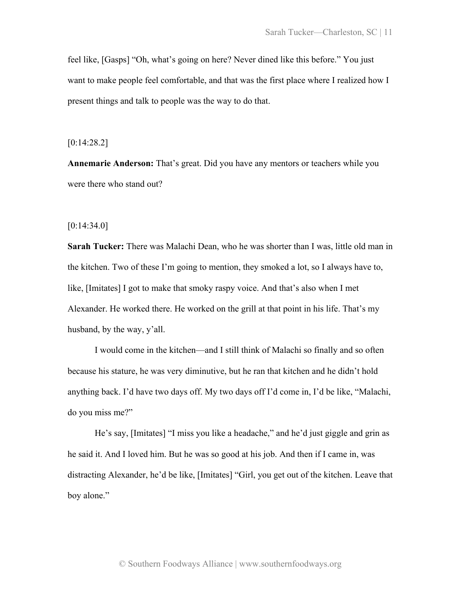feel like, [Gasps] "Oh, what's going on here? Never dined like this before." You just want to make people feel comfortable, and that was the first place where I realized how I present things and talk to people was the way to do that.

### [0:14:28.2]

**Annemarie Anderson:** That's great. Did you have any mentors or teachers while you were there who stand out?

### $[0:14:34.0]$

**Sarah Tucker:** There was Malachi Dean, who he was shorter than I was, little old man in the kitchen. Two of these I'm going to mention, they smoked a lot, so I always have to, like, [Imitates] I got to make that smoky raspy voice. And that's also when I met Alexander. He worked there. He worked on the grill at that point in his life. That's my husband, by the way, y'all.

I would come in the kitchen—and I still think of Malachi so finally and so often because his stature, he was very diminutive, but he ran that kitchen and he didn't hold anything back. I'd have two days off. My two days off I'd come in, I'd be like, "Malachi, do you miss me?"

He's say, [Imitates] "I miss you like a headache," and he'd just giggle and grin as he said it. And I loved him. But he was so good at his job. And then if I came in, was distracting Alexander, he'd be like, [Imitates] "Girl, you get out of the kitchen. Leave that boy alone."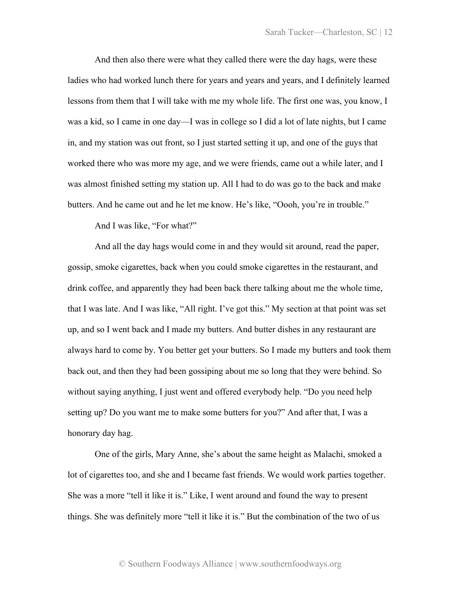And then also there were what they called there were the day hags, were these ladies who had worked lunch there for years and years and years, and I definitely learned lessons from them that I will take with me my whole life. The first one was, you know, I was a kid, so I came in one day—I was in college so I did a lot of late nights, but I came in, and my station was out front, so I just started setting it up, and one of the guys that worked there who was more my age, and we were friends, came out a while later, and I was almost finished setting my station up. All I had to do was go to the back and make butters. And he came out and he let me know. He's like, "Oooh, you're in trouble."

And I was like, "For what?"

And all the day hags would come in and they would sit around, read the paper, gossip, smoke cigarettes, back when you could smoke cigarettes in the restaurant, and drink coffee, and apparently they had been back there talking about me the whole time, that I was late. And I was like, "All right. I've got this." My section at that point was set up, and so I went back and I made my butters. And butter dishes in any restaurant are always hard to come by. You better get your butters. So I made my butters and took them back out, and then they had been gossiping about me so long that they were behind. So without saying anything, I just went and offered everybody help. "Do you need help setting up? Do you want me to make some butters for you?" And after that, I was a honorary day hag.

One of the girls, Mary Anne, she's about the same height as Malachi, smoked a lot of cigarettes too, and she and I became fast friends. We would work parties together. She was a more "tell it like it is." Like, I went around and found the way to present things. She was definitely more "tell it like it is." But the combination of the two of us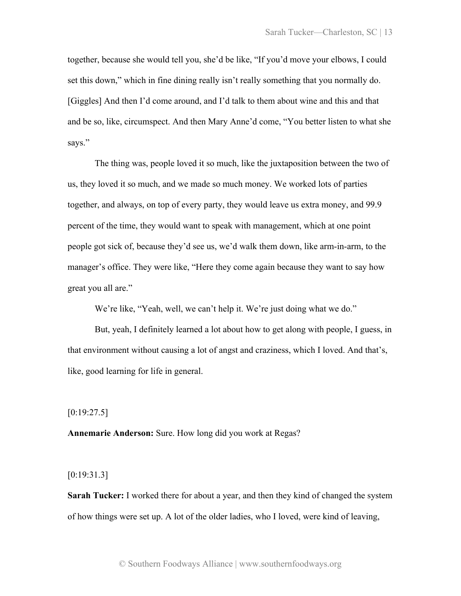together, because she would tell you, she'd be like, "If you'd move your elbows, I could set this down," which in fine dining really isn't really something that you normally do. [Giggles] And then I'd come around, and I'd talk to them about wine and this and that and be so, like, circumspect. And then Mary Anne'd come, "You better listen to what she says."

The thing was, people loved it so much, like the juxtaposition between the two of us, they loved it so much, and we made so much money. We worked lots of parties together, and always, on top of every party, they would leave us extra money, and 99.9 percent of the time, they would want to speak with management, which at one point people got sick of, because they'd see us, we'd walk them down, like arm-in-arm, to the manager's office. They were like, "Here they come again because they want to say how great you all are."

We're like, "Yeah, well, we can't help it. We're just doing what we do."

But, yeah, I definitely learned a lot about how to get along with people, I guess, in that environment without causing a lot of angst and craziness, which I loved. And that's, like, good learning for life in general.

 $[0:19:27.5]$ 

**Annemarie Anderson:** Sure. How long did you work at Regas?

[0:19:31.3]

**Sarah Tucker:** I worked there for about a year, and then they kind of changed the system of how things were set up. A lot of the older ladies, who I loved, were kind of leaving,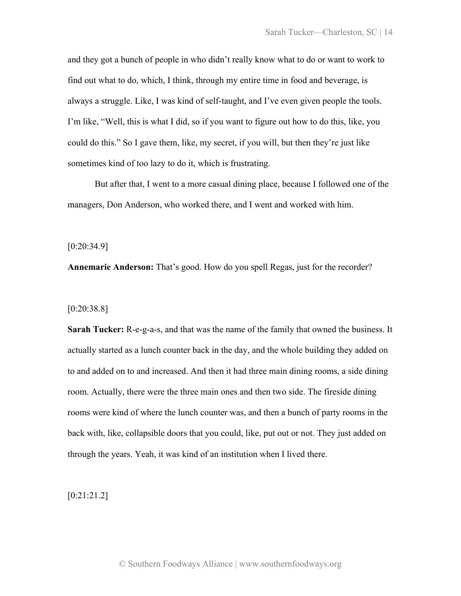and they got a bunch of people in who didn't really know what to do or want to work to find out what to do, which, I think, through my entire time in food and beverage, is always a struggle. Like, I was kind of self-taught, and I've even given people the tools. I'm like, "Well, this is what I did, so if you want to figure out how to do this, like, you could do this." So I gave them, like, my secret, if you will, but then they're just like sometimes kind of too lazy to do it, which is frustrating.

But after that, I went to a more casual dining place, because I followed one of the managers, Don Anderson, who worked there, and I went and worked with him.

[0:20:34.9]

**Annemarie Anderson:** That's good. How do you spell Regas, just for the recorder?

[0:20:38.8]

**Sarah Tucker:** R-e-g-a-s, and that was the name of the family that owned the business. It actually started as a lunch counter back in the day, and the whole building they added on to and added on to and increased. And then it had three main dining rooms, a side dining room. Actually, there were the three main ones and then two side. The fireside dining rooms were kind of where the lunch counter was, and then a bunch of party rooms in the back with, like, collapsible doors that you could, like, put out or not. They just added on through the years. Yeah, it was kind of an institution when I lived there.

[0:21:21.2]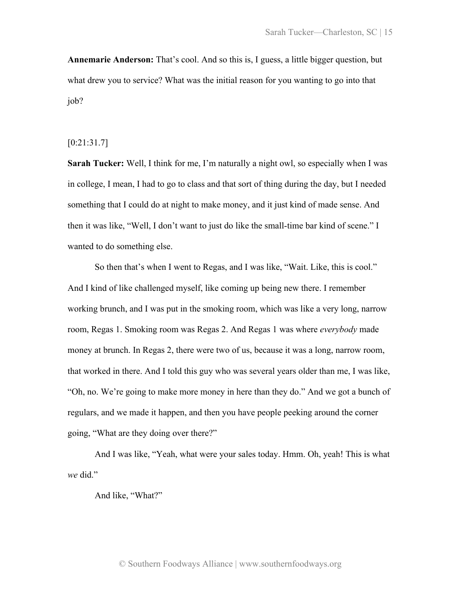**Annemarie Anderson:** That's cool. And so this is, I guess, a little bigger question, but what drew you to service? What was the initial reason for you wanting to go into that job?

## [0:21:31.7]

**Sarah Tucker:** Well, I think for me, I'm naturally a night owl, so especially when I was in college, I mean, I had to go to class and that sort of thing during the day, but I needed something that I could do at night to make money, and it just kind of made sense. And then it was like, "Well, I don't want to just do like the small-time bar kind of scene." I wanted to do something else.

So then that's when I went to Regas, and I was like, "Wait. Like, this is cool." And I kind of like challenged myself, like coming up being new there. I remember working brunch, and I was put in the smoking room, which was like a very long, narrow room, Regas 1. Smoking room was Regas 2. And Regas 1 was where *everybody* made money at brunch. In Regas 2, there were two of us, because it was a long, narrow room, that worked in there. And I told this guy who was several years older than me, I was like, "Oh, no. We're going to make more money in here than they do." And we got a bunch of regulars, and we made it happen, and then you have people peeking around the corner going, "What are they doing over there?"

And I was like, "Yeah, what were your sales today. Hmm. Oh, yeah! This is what *we* did."

And like, "What?"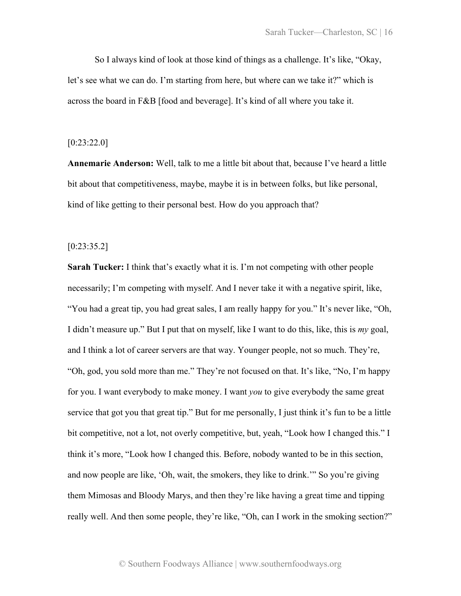So I always kind of look at those kind of things as a challenge. It's like, "Okay, let's see what we can do. I'm starting from here, but where can we take it?" which is across the board in F&B [food and beverage]. It's kind of all where you take it.

### [0:23:22.0]

**Annemarie Anderson:** Well, talk to me a little bit about that, because I've heard a little bit about that competitiveness, maybe, maybe it is in between folks, but like personal, kind of like getting to their personal best. How do you approach that?

# [0:23:35.2]

**Sarah Tucker:** I think that's exactly what it is. I'm not competing with other people necessarily; I'm competing with myself. And I never take it with a negative spirit, like, "You had a great tip, you had great sales, I am really happy for you." It's never like, "Oh, I didn't measure up." But I put that on myself, like I want to do this, like, this is *my* goal, and I think a lot of career servers are that way. Younger people, not so much. They're, "Oh, god, you sold more than me." They're not focused on that. It's like, "No, I'm happy for you. I want everybody to make money. I want *you* to give everybody the same great service that got you that great tip." But for me personally, I just think it's fun to be a little bit competitive, not a lot, not overly competitive, but, yeah, "Look how I changed this." I think it's more, "Look how I changed this. Before, nobody wanted to be in this section, and now people are like, 'Oh, wait, the smokers, they like to drink.'" So you're giving them Mimosas and Bloody Marys, and then they're like having a great time and tipping really well. And then some people, they're like, "Oh, can I work in the smoking section?"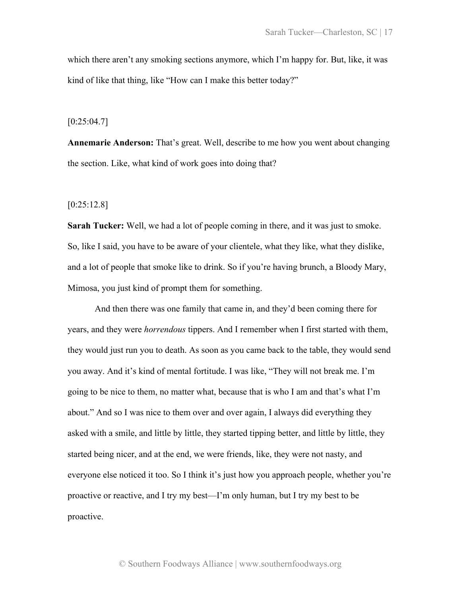which there aren't any smoking sections anymore, which I'm happy for. But, like, it was kind of like that thing, like "How can I make this better today?"

 $[0:25:04.7]$ 

**Annemarie Anderson:** That's great. Well, describe to me how you went about changing the section. Like, what kind of work goes into doing that?

[0:25:12.8]

**Sarah Tucker:** Well, we had a lot of people coming in there, and it was just to smoke. So, like I said, you have to be aware of your clientele, what they like, what they dislike, and a lot of people that smoke like to drink. So if you're having brunch, a Bloody Mary, Mimosa, you just kind of prompt them for something.

And then there was one family that came in, and they'd been coming there for years, and they were *horrendous* tippers. And I remember when I first started with them, they would just run you to death. As soon as you came back to the table, they would send you away. And it's kind of mental fortitude. I was like, "They will not break me. I'm going to be nice to them, no matter what, because that is who I am and that's what I'm about." And so I was nice to them over and over again, I always did everything they asked with a smile, and little by little, they started tipping better, and little by little, they started being nicer, and at the end, we were friends, like, they were not nasty, and everyone else noticed it too. So I think it's just how you approach people, whether you're proactive or reactive, and I try my best—I'm only human, but I try my best to be proactive.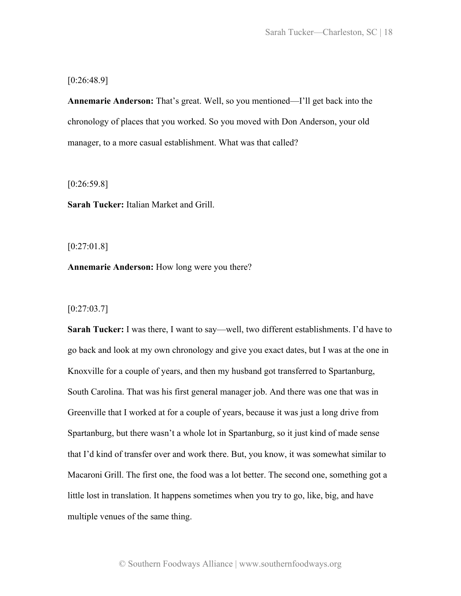[0:26:48.9]

**Annemarie Anderson:** That's great. Well, so you mentioned—I'll get back into the chronology of places that you worked. So you moved with Don Anderson, your old manager, to a more casual establishment. What was that called?

[0:26:59.8]

**Sarah Tucker:** Italian Market and Grill.

[0:27:01.8]

**Annemarie Anderson:** How long were you there?

 $[0:27:03.7]$ 

**Sarah Tucker:** I was there, I want to say—well, two different establishments. I'd have to go back and look at my own chronology and give you exact dates, but I was at the one in Knoxville for a couple of years, and then my husband got transferred to Spartanburg, South Carolina. That was his first general manager job. And there was one that was in Greenville that I worked at for a couple of years, because it was just a long drive from Spartanburg, but there wasn't a whole lot in Spartanburg, so it just kind of made sense that I'd kind of transfer over and work there. But, you know, it was somewhat similar to Macaroni Grill. The first one, the food was a lot better. The second one, something got a little lost in translation. It happens sometimes when you try to go, like, big, and have multiple venues of the same thing.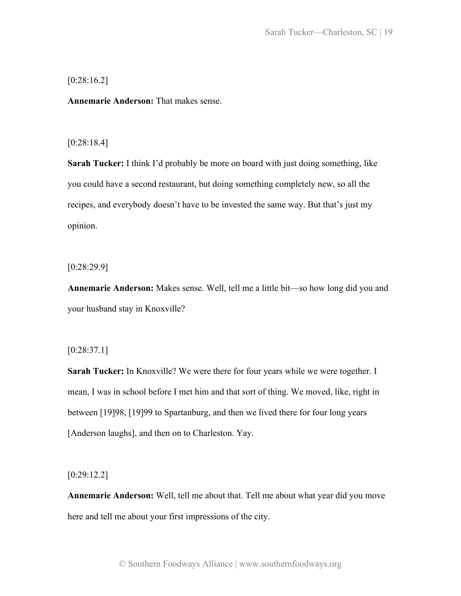[0:28:16.2]

**Annemarie Anderson:** That makes sense.

### [0:28:18.4]

**Sarah Tucker:** I think I'd probably be more on board with just doing something, like you could have a second restaurant, but doing something completely new, so all the recipes, and everybody doesn't have to be invested the same way. But that's just my opinion.

[0:28:29.9]

**Annemarie Anderson:** Makes sense. Well, tell me a little bit—so how long did you and your husband stay in Knoxville?

[0:28:37.1]

**Sarah Tucker:** In Knoxville? We were there for four years while we were together. I mean, I was in school before I met him and that sort of thing. We moved, like, right in between [19]98, [19]99 to Spartanburg, and then we lived there for four long years [Anderson laughs], and then on to Charleston. Yay.

[0:29:12.2]

**Annemarie Anderson:** Well, tell me about that. Tell me about what year did you move here and tell me about your first impressions of the city.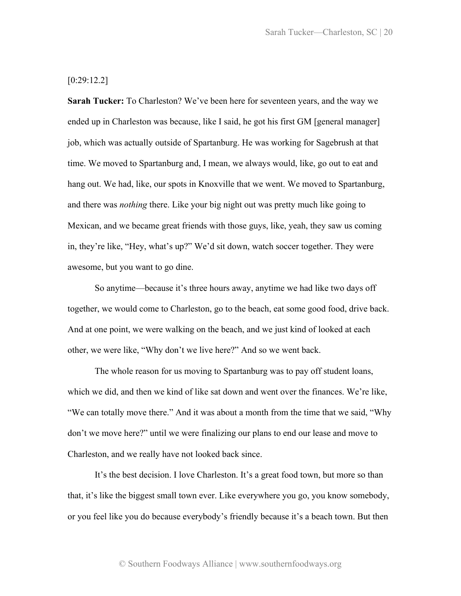# [0:29:12.2]

**Sarah Tucker:** To Charleston? We've been here for seventeen years, and the way we ended up in Charleston was because, like I said, he got his first GM [general manager] job, which was actually outside of Spartanburg. He was working for Sagebrush at that time. We moved to Spartanburg and, I mean, we always would, like, go out to eat and hang out. We had, like, our spots in Knoxville that we went. We moved to Spartanburg, and there was *nothing* there. Like your big night out was pretty much like going to Mexican, and we became great friends with those guys, like, yeah, they saw us coming in, they're like, "Hey, what's up?" We'd sit down, watch soccer together. They were awesome, but you want to go dine.

So anytime—because it's three hours away, anytime we had like two days off together, we would come to Charleston, go to the beach, eat some good food, drive back. And at one point, we were walking on the beach, and we just kind of looked at each other, we were like, "Why don't we live here?" And so we went back.

The whole reason for us moving to Spartanburg was to pay off student loans, which we did, and then we kind of like sat down and went over the finances. We're like, "We can totally move there." And it was about a month from the time that we said, "Why don't we move here?" until we were finalizing our plans to end our lease and move to Charleston, and we really have not looked back since.

It's the best decision. I love Charleston. It's a great food town, but more so than that, it's like the biggest small town ever. Like everywhere you go, you know somebody, or you feel like you do because everybody's friendly because it's a beach town. But then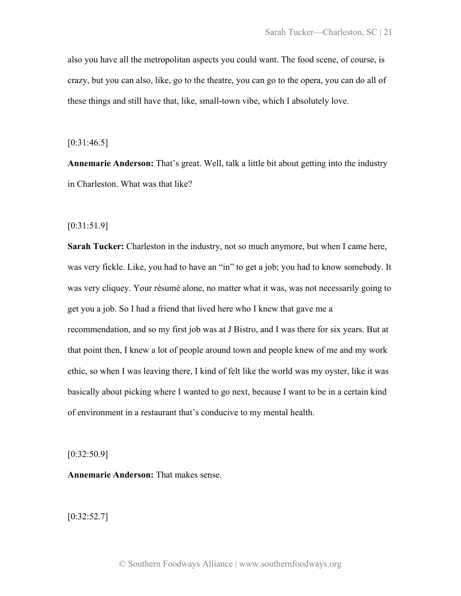also you have all the metropolitan aspects you could want. The food scene, of course, is crazy, but you can also, like, go to the theatre, you can go to the opera, you can do all of these things and still have that, like, small-town vibe, which I absolutely love.

 $[0:31:46.5]$ 

**Annemarie Anderson:** That's great. Well, talk a little bit about getting into the industry in Charleston. What was that like?

[0:31:51.9]

**Sarah Tucker:** Charleston in the industry, not so much anymore, but when I came here, was very fickle. Like, you had to have an "in" to get a job; you had to know somebody. It was very cliquey. Your résumé alone, no matter what it was, was not necessarily going to get you a job. So I had a friend that lived here who I knew that gave me a recommendation, and so my first job was at J Bistro, and I was there for six years. But at that point then, I knew a lot of people around town and people knew of me and my work ethic, so when I was leaving there, I kind of felt like the world was my oyster, like it was basically about picking where I wanted to go next, because I want to be in a certain kind of environment in a restaurant that's conducive to my mental health.

[0:32:50.9]

**Annemarie Anderson:** That makes sense.

 $[0:32:52.7]$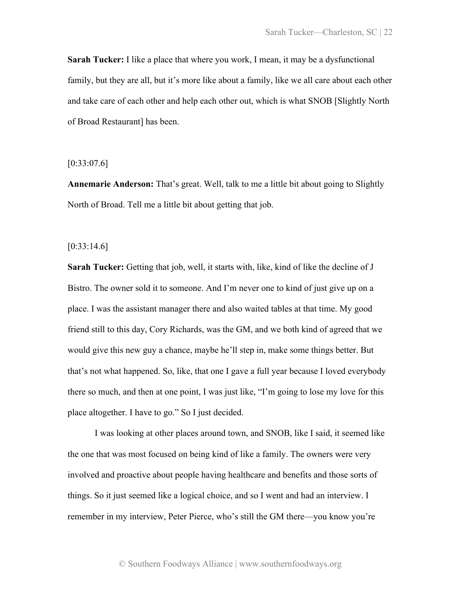**Sarah Tucker:** I like a place that where you work, I mean, it may be a dysfunctional family, but they are all, but it's more like about a family, like we all care about each other and take care of each other and help each other out, which is what SNOB [Slightly North of Broad Restaurant] has been.

 $[0:33:07.6]$ 

**Annemarie Anderson:** That's great. Well, talk to me a little bit about going to Slightly North of Broad. Tell me a little bit about getting that job.

 $[0:33:14.6]$ 

**Sarah Tucker:** Getting that job, well, it starts with, like, kind of like the decline of J Bistro. The owner sold it to someone. And I'm never one to kind of just give up on a place. I was the assistant manager there and also waited tables at that time. My good friend still to this day, Cory Richards, was the GM, and we both kind of agreed that we would give this new guy a chance, maybe he'll step in, make some things better. But that's not what happened. So, like, that one I gave a full year because I loved everybody there so much, and then at one point, I was just like, "I'm going to lose my love for this place altogether. I have to go." So I just decided.

I was looking at other places around town, and SNOB, like I said, it seemed like the one that was most focused on being kind of like a family. The owners were very involved and proactive about people having healthcare and benefits and those sorts of things. So it just seemed like a logical choice, and so I went and had an interview. I remember in my interview, Peter Pierce, who's still the GM there—you know you're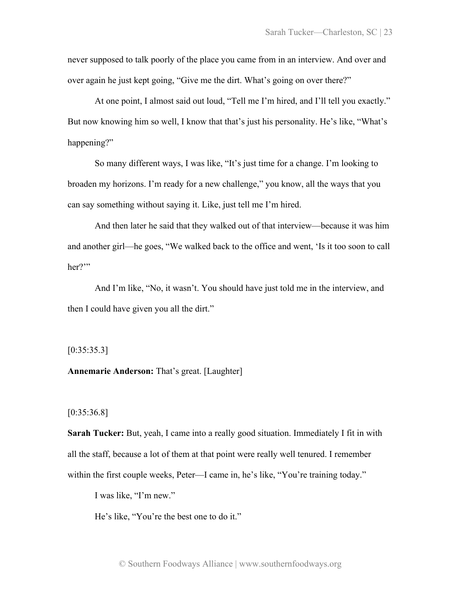never supposed to talk poorly of the place you came from in an interview. And over and over again he just kept going, "Give me the dirt. What's going on over there?"

At one point, I almost said out loud, "Tell me I'm hired, and I'll tell you exactly." But now knowing him so well, I know that that's just his personality. He's like, "What's happening?"

So many different ways, I was like, "It's just time for a change. I'm looking to broaden my horizons. I'm ready for a new challenge," you know, all the ways that you can say something without saying it. Like, just tell me I'm hired.

And then later he said that they walked out of that interview—because it was him and another girl—he goes, "We walked back to the office and went, 'Is it too soon to call her?"

And I'm like, "No, it wasn't. You should have just told me in the interview, and then I could have given you all the dirt."

 $[0:35:35.3]$ 

**Annemarie Anderson:** That's great. [Laughter]

[0:35:36.8]

**Sarah Tucker:** But, yeah, I came into a really good situation. Immediately I fit in with all the staff, because a lot of them at that point were really well tenured. I remember within the first couple weeks, Peter—I came in, he's like, "You're training today."

I was like, "I'm new."

He's like, "You're the best one to do it."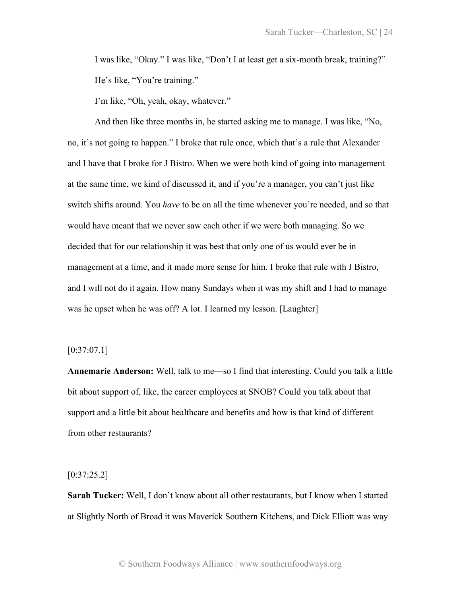I was like, "Okay." I was like, "Don't I at least get a six-month break, training?" He's like, "You're training."

I'm like, "Oh, yeah, okay, whatever."

And then like three months in, he started asking me to manage. I was like, "No, no, it's not going to happen." I broke that rule once, which that's a rule that Alexander and I have that I broke for J Bistro. When we were both kind of going into management at the same time, we kind of discussed it, and if you're a manager, you can't just like switch shifts around. You *have* to be on all the time whenever you're needed, and so that would have meant that we never saw each other if we were both managing. So we decided that for our relationship it was best that only one of us would ever be in management at a time, and it made more sense for him. I broke that rule with J Bistro, and I will not do it again. How many Sundays when it was my shift and I had to manage was he upset when he was off? A lot. I learned my lesson. [Laughter]

### $[0:37:07.1]$

**Annemarie Anderson:** Well, talk to me—so I find that interesting. Could you talk a little bit about support of, like, the career employees at SNOB? Could you talk about that support and a little bit about healthcare and benefits and how is that kind of different from other restaurants?

#### $[0:37:25.2]$

**Sarah Tucker:** Well, I don't know about all other restaurants, but I know when I started at Slightly North of Broad it was Maverick Southern Kitchens, and Dick Elliott was way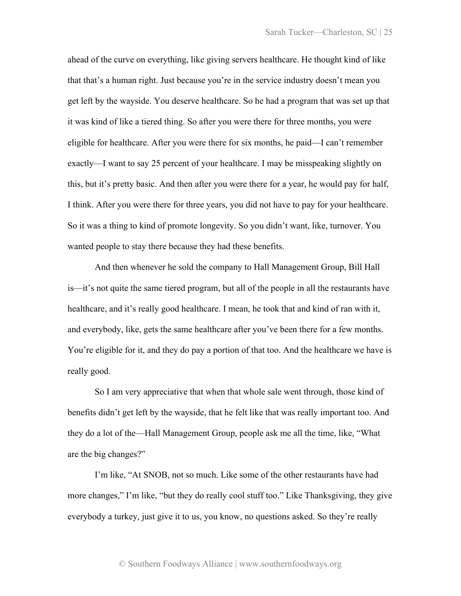ahead of the curve on everything, like giving servers healthcare. He thought kind of like that that's a human right. Just because you're in the service industry doesn't mean you get left by the wayside. You deserve healthcare. So he had a program that was set up that it was kind of like a tiered thing. So after you were there for three months, you were eligible for healthcare. After you were there for six months, he paid—I can't remember exactly—I want to say 25 percent of your healthcare. I may be misspeaking slightly on this, but it's pretty basic. And then after you were there for a year, he would pay for half, I think. After you were there for three years, you did not have to pay for your healthcare. So it was a thing to kind of promote longevity. So you didn't want, like, turnover. You wanted people to stay there because they had these benefits.

And then whenever he sold the company to Hall Management Group, Bill Hall is—it's not quite the same tiered program, but all of the people in all the restaurants have healthcare, and it's really good healthcare. I mean, he took that and kind of ran with it, and everybody, like, gets the same healthcare after you've been there for a few months. You're eligible for it, and they do pay a portion of that too. And the healthcare we have is really good.

So I am very appreciative that when that whole sale went through, those kind of benefits didn't get left by the wayside, that he felt like that was really important too. And they do a lot of the—Hall Management Group, people ask me all the time, like, "What are the big changes?"

I'm like, "At SNOB, not so much. Like some of the other restaurants have had more changes," I'm like, "but they do really cool stuff too." Like Thanksgiving, they give everybody a turkey, just give it to us, you know, no questions asked. So they're really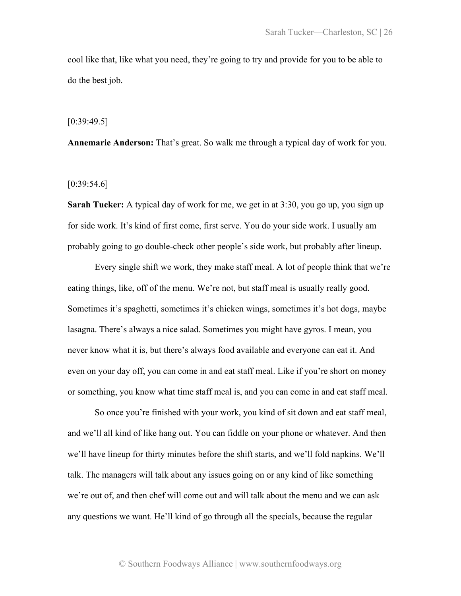cool like that, like what you need, they're going to try and provide for you to be able to do the best job.

#### [0:39:49.5]

**Annemarie Anderson:** That's great. So walk me through a typical day of work for you.

### $[0:39:54.6]$

**Sarah Tucker:** A typical day of work for me, we get in at 3:30, you go up, you sign up for side work. It's kind of first come, first serve. You do your side work. I usually am probably going to go double-check other people's side work, but probably after lineup.

Every single shift we work, they make staff meal. A lot of people think that we're eating things, like, off of the menu. We're not, but staff meal is usually really good. Sometimes it's spaghetti, sometimes it's chicken wings, sometimes it's hot dogs, maybe lasagna. There's always a nice salad. Sometimes you might have gyros. I mean, you never know what it is, but there's always food available and everyone can eat it. And even on your day off, you can come in and eat staff meal. Like if you're short on money or something, you know what time staff meal is, and you can come in and eat staff meal.

So once you're finished with your work, you kind of sit down and eat staff meal, and we'll all kind of like hang out. You can fiddle on your phone or whatever. And then we'll have lineup for thirty minutes before the shift starts, and we'll fold napkins. We'll talk. The managers will talk about any issues going on or any kind of like something we're out of, and then chef will come out and will talk about the menu and we can ask any questions we want. He'll kind of go through all the specials, because the regular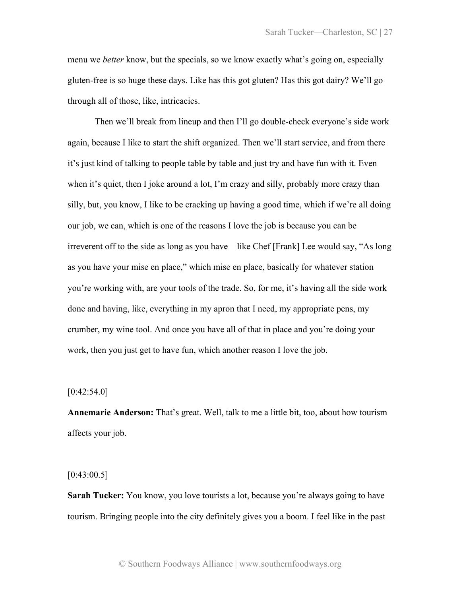menu we *better* know, but the specials, so we know exactly what's going on, especially gluten-free is so huge these days. Like has this got gluten? Has this got dairy? We'll go through all of those, like, intricacies.

Then we'll break from lineup and then I'll go double-check everyone's side work again, because I like to start the shift organized. Then we'll start service, and from there it's just kind of talking to people table by table and just try and have fun with it. Even when it's quiet, then I joke around a lot, I'm crazy and silly, probably more crazy than silly, but, you know, I like to be cracking up having a good time, which if we're all doing our job, we can, which is one of the reasons I love the job is because you can be irreverent off to the side as long as you have—like Chef [Frank] Lee would say, "As long as you have your mise en place," which mise en place, basically for whatever station you're working with, are your tools of the trade. So, for me, it's having all the side work done and having, like, everything in my apron that I need, my appropriate pens, my crumber, my wine tool. And once you have all of that in place and you're doing your work, then you just get to have fun, which another reason I love the job.

## $[0:42:54.0]$

**Annemarie Anderson:** That's great. Well, talk to me a little bit, too, about how tourism affects your job.

 $[0:43:00.5]$ 

**Sarah Tucker:** You know, you love tourists a lot, because you're always going to have tourism. Bringing people into the city definitely gives you a boom. I feel like in the past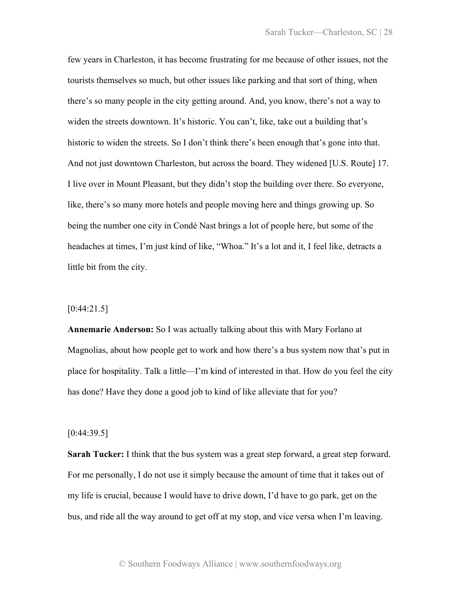few years in Charleston, it has become frustrating for me because of other issues, not the tourists themselves so much, but other issues like parking and that sort of thing, when there's so many people in the city getting around. And, you know, there's not a way to widen the streets downtown. It's historic. You can't, like, take out a building that's historic to widen the streets. So I don't think there's been enough that's gone into that. And not just downtown Charleston, but across the board. They widened [U.S. Route] 17. I live over in Mount Pleasant, but they didn't stop the building over there. So everyone, like, there's so many more hotels and people moving here and things growing up. So being the number one city in Condé Nast brings a lot of people here, but some of the headaches at times, I'm just kind of like, "Whoa." It's a lot and it, I feel like, detracts a little bit from the city.

## $[0:44:21.5]$

**Annemarie Anderson:** So I was actually talking about this with Mary Forlano at Magnolias, about how people get to work and how there's a bus system now that's put in place for hospitality. Talk a little—I'm kind of interested in that. How do you feel the city has done? Have they done a good job to kind of like alleviate that for you?

#### $[0:44:39.5]$

**Sarah Tucker:** I think that the bus system was a great step forward, a great step forward. For me personally, I do not use it simply because the amount of time that it takes out of my life is crucial, because I would have to drive down, I'd have to go park, get on the bus, and ride all the way around to get off at my stop, and vice versa when I'm leaving.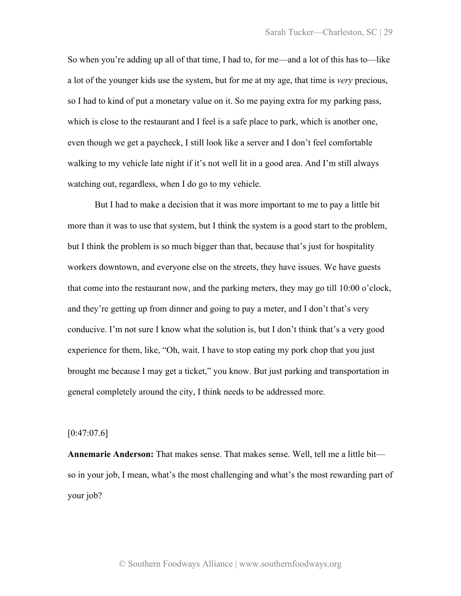So when you're adding up all of that time, I had to, for me—and a lot of this has to—like a lot of the younger kids use the system, but for me at my age, that time is *very* precious, so I had to kind of put a monetary value on it. So me paying extra for my parking pass, which is close to the restaurant and I feel is a safe place to park, which is another one, even though we get a paycheck, I still look like a server and I don't feel comfortable walking to my vehicle late night if it's not well lit in a good area. And I'm still always watching out, regardless, when I do go to my vehicle.

But I had to make a decision that it was more important to me to pay a little bit more than it was to use that system, but I think the system is a good start to the problem, but I think the problem is so much bigger than that, because that's just for hospitality workers downtown, and everyone else on the streets, they have issues. We have guests that come into the restaurant now, and the parking meters, they may go till 10:00 o'clock, and they're getting up from dinner and going to pay a meter, and I don't that's very conducive. I'm not sure I know what the solution is, but I don't think that's a very good experience for them, like, "Oh, wait. I have to stop eating my pork chop that you just brought me because I may get a ticket," you know. But just parking and transportation in general completely around the city, I think needs to be addressed more.

### $[0:47:07.6]$

**Annemarie Anderson:** That makes sense. That makes sense. Well, tell me a little bit so in your job, I mean, what's the most challenging and what's the most rewarding part of your job?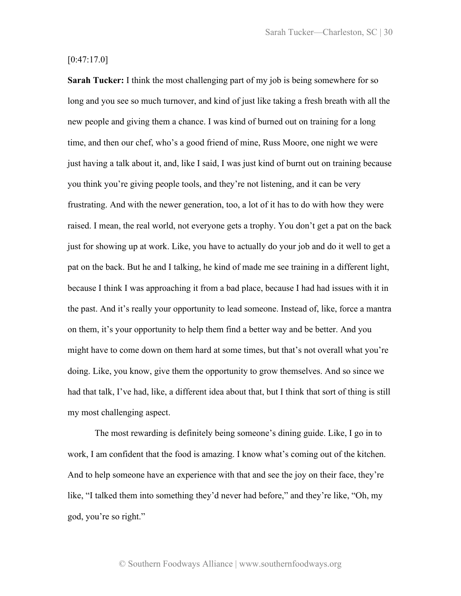# $[0:47:17.0]$

**Sarah Tucker:** I think the most challenging part of my job is being somewhere for so long and you see so much turnover, and kind of just like taking a fresh breath with all the new people and giving them a chance. I was kind of burned out on training for a long time, and then our chef, who's a good friend of mine, Russ Moore, one night we were just having a talk about it, and, like I said, I was just kind of burnt out on training because you think you're giving people tools, and they're not listening, and it can be very frustrating. And with the newer generation, too, a lot of it has to do with how they were raised. I mean, the real world, not everyone gets a trophy. You don't get a pat on the back just for showing up at work. Like, you have to actually do your job and do it well to get a pat on the back. But he and I talking, he kind of made me see training in a different light, because I think I was approaching it from a bad place, because I had had issues with it in the past. And it's really your opportunity to lead someone. Instead of, like, force a mantra on them, it's your opportunity to help them find a better way and be better. And you might have to come down on them hard at some times, but that's not overall what you're doing. Like, you know, give them the opportunity to grow themselves. And so since we had that talk, I've had, like, a different idea about that, but I think that sort of thing is still my most challenging aspect.

The most rewarding is definitely being someone's dining guide. Like, I go in to work, I am confident that the food is amazing. I know what's coming out of the kitchen. And to help someone have an experience with that and see the joy on their face, they're like, "I talked them into something they'd never had before," and they're like, "Oh, my god, you're so right."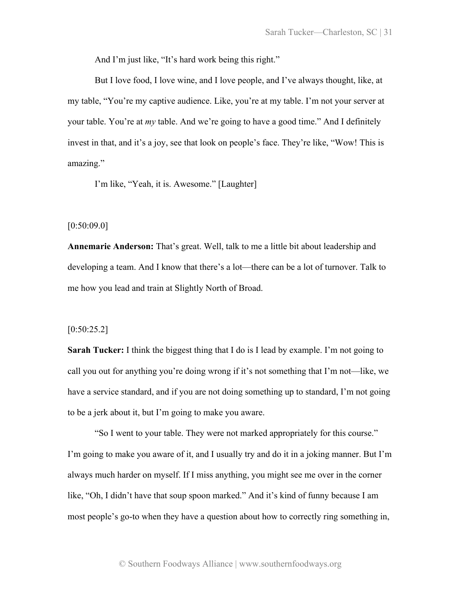And I'm just like, "It's hard work being this right."

But I love food, I love wine, and I love people, and I've always thought, like, at my table, "You're my captive audience. Like, you're at my table. I'm not your server at your table. You're at *my* table. And we're going to have a good time." And I definitely invest in that, and it's a joy, see that look on people's face. They're like, "Wow! This is amazing."

I'm like, "Yeah, it is. Awesome." [Laughter]

# $[0:50:09.0]$

**Annemarie Anderson:** That's great. Well, talk to me a little bit about leadership and developing a team. And I know that there's a lot—there can be a lot of turnover. Talk to me how you lead and train at Slightly North of Broad.

# [0:50:25.2]

**Sarah Tucker:** I think the biggest thing that I do is I lead by example. I'm not going to call you out for anything you're doing wrong if it's not something that I'm not—like, we have a service standard, and if you are not doing something up to standard, I'm not going to be a jerk about it, but I'm going to make you aware.

"So I went to your table. They were not marked appropriately for this course." I'm going to make you aware of it, and I usually try and do it in a joking manner. But I'm always much harder on myself. If I miss anything, you might see me over in the corner like, "Oh, I didn't have that soup spoon marked." And it's kind of funny because I am most people's go-to when they have a question about how to correctly ring something in,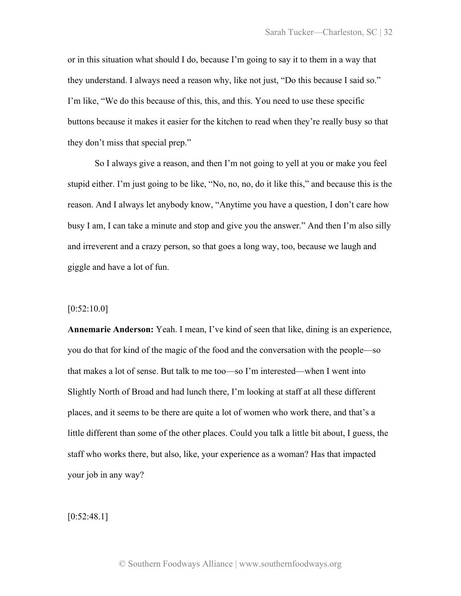or in this situation what should I do, because I'm going to say it to them in a way that they understand. I always need a reason why, like not just, "Do this because I said so." I'm like, "We do this because of this, this, and this. You need to use these specific buttons because it makes it easier for the kitchen to read when they're really busy so that they don't miss that special prep."

So I always give a reason, and then I'm not going to yell at you or make you feel stupid either. I'm just going to be like, "No, no, no, do it like this," and because this is the reason. And I always let anybody know, "Anytime you have a question, I don't care how busy I am, I can take a minute and stop and give you the answer." And then I'm also silly and irreverent and a crazy person, so that goes a long way, too, because we laugh and giggle and have a lot of fun.

## $[0:52:10.0]$

**Annemarie Anderson:** Yeah. I mean, I've kind of seen that like, dining is an experience, you do that for kind of the magic of the food and the conversation with the people—so that makes a lot of sense. But talk to me too—so I'm interested—when I went into Slightly North of Broad and had lunch there, I'm looking at staff at all these different places, and it seems to be there are quite a lot of women who work there, and that's a little different than some of the other places. Could you talk a little bit about, I guess, the staff who works there, but also, like, your experience as a woman? Has that impacted your job in any way?

 $[0:52:48.1]$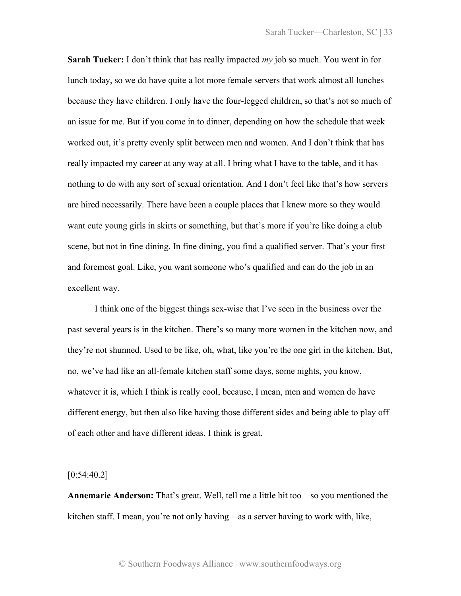**Sarah Tucker:** I don't think that has really impacted *my* job so much. You went in for lunch today, so we do have quite a lot more female servers that work almost all lunches because they have children. I only have the four-legged children, so that's not so much of an issue for me. But if you come in to dinner, depending on how the schedule that week worked out, it's pretty evenly split between men and women. And I don't think that has really impacted my career at any way at all. I bring what I have to the table, and it has nothing to do with any sort of sexual orientation. And I don't feel like that's how servers are hired necessarily. There have been a couple places that I knew more so they would want cute young girls in skirts or something, but that's more if you're like doing a club scene, but not in fine dining. In fine dining, you find a qualified server. That's your first and foremost goal. Like, you want someone who's qualified and can do the job in an excellent way.

I think one of the biggest things sex-wise that I've seen in the business over the past several years is in the kitchen. There's so many more women in the kitchen now, and they're not shunned. Used to be like, oh, what, like you're the one girl in the kitchen. But, no, we've had like an all-female kitchen staff some days, some nights, you know, whatever it is, which I think is really cool, because, I mean, men and women do have different energy, but then also like having those different sides and being able to play off of each other and have different ideas, I think is great.

 $[0:54:40.2]$ 

**Annemarie Anderson:** That's great. Well, tell me a little bit too—so you mentioned the kitchen staff. I mean, you're not only having—as a server having to work with, like,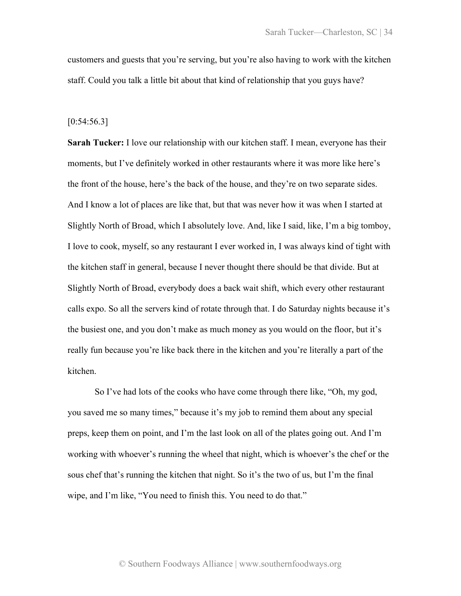customers and guests that you're serving, but you're also having to work with the kitchen staff. Could you talk a little bit about that kind of relationship that you guys have?

#### $[0:54:56.3]$

**Sarah Tucker:** I love our relationship with our kitchen staff. I mean, everyone has their moments, but I've definitely worked in other restaurants where it was more like here's the front of the house, here's the back of the house, and they're on two separate sides. And I know a lot of places are like that, but that was never how it was when I started at Slightly North of Broad, which I absolutely love. And, like I said, like, I'm a big tomboy, I love to cook, myself, so any restaurant I ever worked in, I was always kind of tight with the kitchen staff in general, because I never thought there should be that divide. But at Slightly North of Broad, everybody does a back wait shift, which every other restaurant calls expo. So all the servers kind of rotate through that. I do Saturday nights because it's the busiest one, and you don't make as much money as you would on the floor, but it's really fun because you're like back there in the kitchen and you're literally a part of the kitchen.

So I've had lots of the cooks who have come through there like, "Oh, my god, you saved me so many times," because it's my job to remind them about any special preps, keep them on point, and I'm the last look on all of the plates going out. And I'm working with whoever's running the wheel that night, which is whoever's the chef or the sous chef that's running the kitchen that night. So it's the two of us, but I'm the final wipe, and I'm like, "You need to finish this. You need to do that."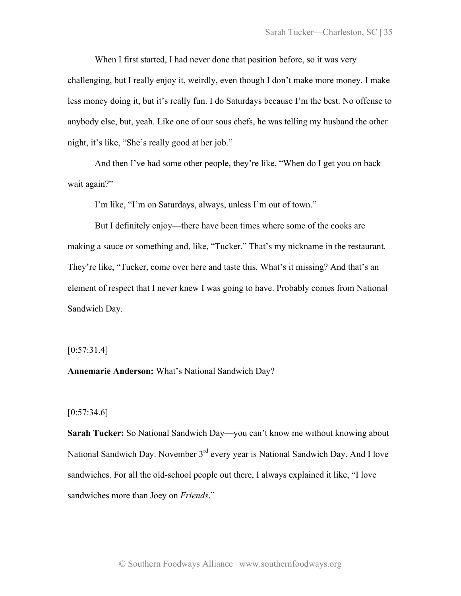When I first started, I had never done that position before, so it was very challenging, but I really enjoy it, weirdly, even though I don't make more money. I make less money doing it, but it's really fun. I do Saturdays because I'm the best. No offense to anybody else, but, yeah. Like one of our sous chefs, he was telling my husband the other night, it's like, "She's really good at her job."

And then I've had some other people, they're like, "When do I get you on back wait again?"

I'm like, "I'm on Saturdays, always, unless I'm out of town."

But I definitely enjoy—there have been times where some of the cooks are making a sauce or something and, like, "Tucker." That's my nickname in the restaurant. They're like, "Tucker, come over here and taste this. What's it missing? And that's an element of respect that I never knew I was going to have. Probably comes from National Sandwich Day.

### $[0:57:31.4]$

**Annemarie Anderson:** What's National Sandwich Day?

# $[0:57:34.6]$

**Sarah Tucker:** So National Sandwich Day—you can't know me without knowing about National Sandwich Day. November 3<sup>rd</sup> every year is National Sandwich Day. And I love sandwiches. For all the old-school people out there, I always explained it like, "I love sandwiches more than Joey on *Friends*."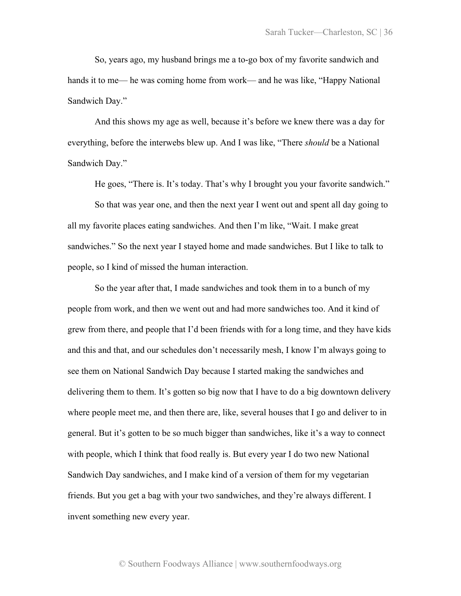So, years ago, my husband brings me a to-go box of my favorite sandwich and hands it to me— he was coming home from work— and he was like, "Happy National Sandwich Day."

And this shows my age as well, because it's before we knew there was a day for everything, before the interwebs blew up. And I was like, "There *should* be a National Sandwich Day."

He goes, "There is. It's today. That's why I brought you your favorite sandwich."

So that was year one, and then the next year I went out and spent all day going to all my favorite places eating sandwiches. And then I'm like, "Wait. I make great sandwiches." So the next year I stayed home and made sandwiches. But I like to talk to people, so I kind of missed the human interaction.

So the year after that, I made sandwiches and took them in to a bunch of my people from work, and then we went out and had more sandwiches too. And it kind of grew from there, and people that I'd been friends with for a long time, and they have kids and this and that, and our schedules don't necessarily mesh, I know I'm always going to see them on National Sandwich Day because I started making the sandwiches and delivering them to them. It's gotten so big now that I have to do a big downtown delivery where people meet me, and then there are, like, several houses that I go and deliver to in general. But it's gotten to be so much bigger than sandwiches, like it's a way to connect with people, which I think that food really is. But every year I do two new National Sandwich Day sandwiches, and I make kind of a version of them for my vegetarian friends. But you get a bag with your two sandwiches, and they're always different. I invent something new every year.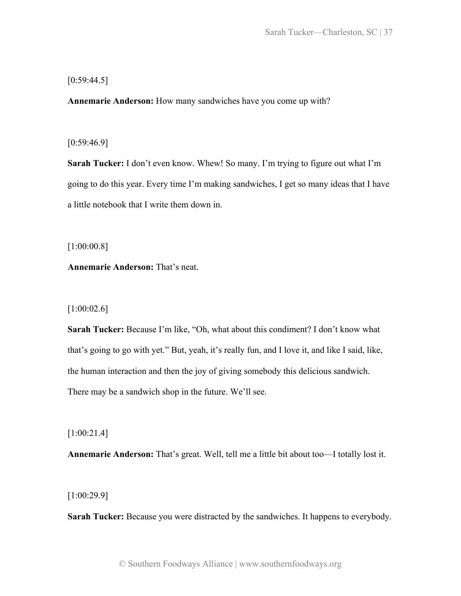# $[0:59:44.5]$

**Annemarie Anderson:** How many sandwiches have you come up with?

# [0:59:46.9]

**Sarah Tucker:** I don't even know. Whew! So many. I'm trying to figure out what I'm going to do this year. Every time I'm making sandwiches, I get so many ideas that I have a little notebook that I write them down in.

[1:00:00.8]

**Annemarie Anderson:** That's neat.

## [1:00:02.6]

**Sarah Tucker:** Because I'm like, "Oh, what about this condiment? I don't know what that's going to go with yet." But, yeah, it's really fun, and I love it, and like I said, like, the human interaction and then the joy of giving somebody this delicious sandwich. There may be a sandwich shop in the future. We'll see.

[1:00:21.4]

**Annemarie Anderson:** That's great. Well, tell me a little bit about too—I totally lost it.

[1:00:29.9]

**Sarah Tucker:** Because you were distracted by the sandwiches. It happens to everybody.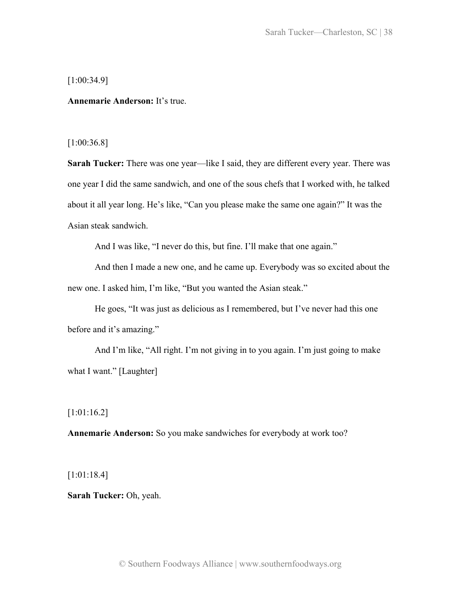[1:00:34.9]

**Annemarie Anderson:** It's true.

[1:00:36.8]

**Sarah Tucker:** There was one year—like I said, they are different every year. There was one year I did the same sandwich, and one of the sous chefs that I worked with, he talked about it all year long. He's like, "Can you please make the same one again?" It was the Asian steak sandwich.

And I was like, "I never do this, but fine. I'll make that one again."

And then I made a new one, and he came up. Everybody was so excited about the new one. I asked him, I'm like, "But you wanted the Asian steak."

He goes, "It was just as delicious as I remembered, but I've never had this one before and it's amazing."

And I'm like, "All right. I'm not giving in to you again. I'm just going to make what I want." [Laughter]

[1:01:16.2]

**Annemarie Anderson:** So you make sandwiches for everybody at work too?

[1:01:18.4]

**Sarah Tucker:** Oh, yeah.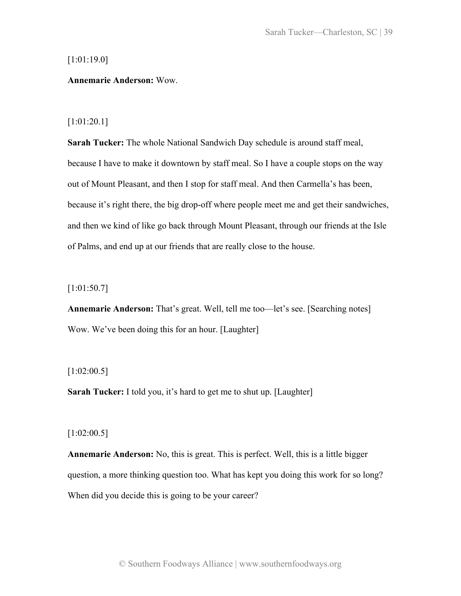## [1:01:19.0]

### **Annemarie Anderson:** Wow.

### [1:01:20.1]

**Sarah Tucker:** The whole National Sandwich Day schedule is around staff meal, because I have to make it downtown by staff meal. So I have a couple stops on the way out of Mount Pleasant, and then I stop for staff meal. And then Carmella's has been, because it's right there, the big drop-off where people meet me and get their sandwiches, and then we kind of like go back through Mount Pleasant, through our friends at the Isle of Palms, and end up at our friends that are really close to the house.

[1:01:50.7]

**Annemarie Anderson:** That's great. Well, tell me too—let's see. [Searching notes] Wow. We've been doing this for an hour. [Laughter]

### $[1:02:00.5]$

**Sarah Tucker:** I told you, it's hard to get me to shut up. [Laughter]

### [1:02:00.5]

**Annemarie Anderson:** No, this is great. This is perfect. Well, this is a little bigger question, a more thinking question too. What has kept you doing this work for so long? When did you decide this is going to be your career?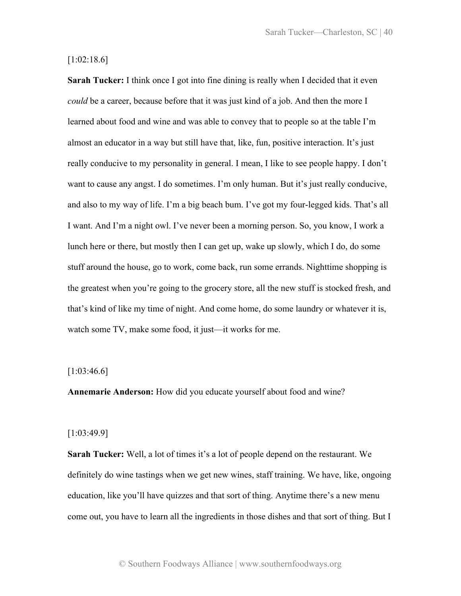# [1:02:18.6]

**Sarah Tucker:** I think once I got into fine dining is really when I decided that it even *could* be a career, because before that it was just kind of a job. And then the more I learned about food and wine and was able to convey that to people so at the table I'm almost an educator in a way but still have that, like, fun, positive interaction. It's just really conducive to my personality in general. I mean, I like to see people happy. I don't want to cause any angst. I do sometimes. I'm only human. But it's just really conducive, and also to my way of life. I'm a big beach bum. I've got my four-legged kids. That's all I want. And I'm a night owl. I've never been a morning person. So, you know, I work a lunch here or there, but mostly then I can get up, wake up slowly, which I do, do some stuff around the house, go to work, come back, run some errands. Nighttime shopping is the greatest when you're going to the grocery store, all the new stuff is stocked fresh, and that's kind of like my time of night. And come home, do some laundry or whatever it is, watch some TV, make some food, it just—it works for me.

## $[1:03:46.6]$

**Annemarie Anderson:** How did you educate yourself about food and wine?

#### [1:03:49.9]

**Sarah Tucker:** Well, a lot of times it's a lot of people depend on the restaurant. We definitely do wine tastings when we get new wines, staff training. We have, like, ongoing education, like you'll have quizzes and that sort of thing. Anytime there's a new menu come out, you have to learn all the ingredients in those dishes and that sort of thing. But I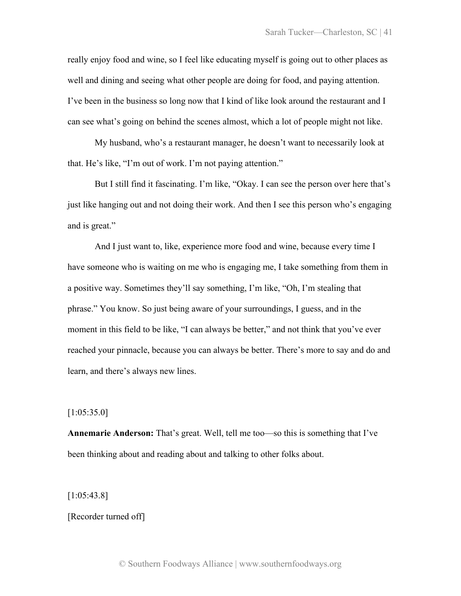really enjoy food and wine, so I feel like educating myself is going out to other places as well and dining and seeing what other people are doing for food, and paying attention. I've been in the business so long now that I kind of like look around the restaurant and I can see what's going on behind the scenes almost, which a lot of people might not like.

My husband, who's a restaurant manager, he doesn't want to necessarily look at that. He's like, "I'm out of work. I'm not paying attention."

But I still find it fascinating. I'm like, "Okay. I can see the person over here that's just like hanging out and not doing their work. And then I see this person who's engaging and is great."

And I just want to, like, experience more food and wine, because every time I have someone who is waiting on me who is engaging me, I take something from them in a positive way. Sometimes they'll say something, I'm like, "Oh, I'm stealing that phrase." You know. So just being aware of your surroundings, I guess, and in the moment in this field to be like, "I can always be better," and not think that you've ever reached your pinnacle, because you can always be better. There's more to say and do and learn, and there's always new lines.

[1:05:35.0]

**Annemarie Anderson:** That's great. Well, tell me too—so this is something that I've been thinking about and reading about and talking to other folks about.

[1:05:43.8]

### [Recorder turned off]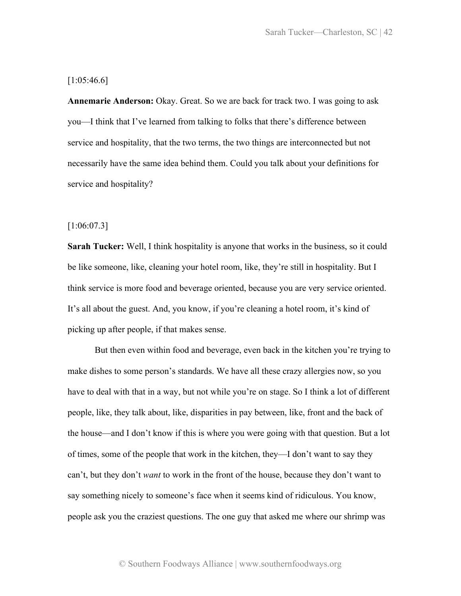# $[1:05:46.6]$

**Annemarie Anderson:** Okay. Great. So we are back for track two. I was going to ask you—I think that I've learned from talking to folks that there's difference between service and hospitality, that the two terms, the two things are interconnected but not necessarily have the same idea behind them. Could you talk about your definitions for service and hospitality?

### [1:06:07.3]

**Sarah Tucker:** Well, I think hospitality is anyone that works in the business, so it could be like someone, like, cleaning your hotel room, like, they're still in hospitality. But I think service is more food and beverage oriented, because you are very service oriented. It's all about the guest. And, you know, if you're cleaning a hotel room, it's kind of picking up after people, if that makes sense.

But then even within food and beverage, even back in the kitchen you're trying to make dishes to some person's standards. We have all these crazy allergies now, so you have to deal with that in a way, but not while you're on stage. So I think a lot of different people, like, they talk about, like, disparities in pay between, like, front and the back of the house—and I don't know if this is where you were going with that question. But a lot of times, some of the people that work in the kitchen, they—I don't want to say they can't, but they don't *want* to work in the front of the house, because they don't want to say something nicely to someone's face when it seems kind of ridiculous. You know, people ask you the craziest questions. The one guy that asked me where our shrimp was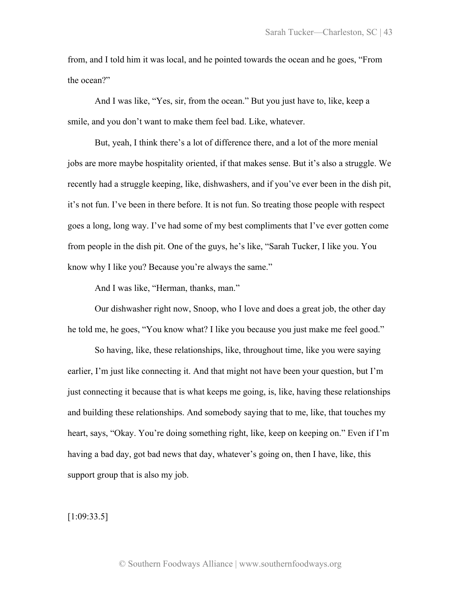from, and I told him it was local, and he pointed towards the ocean and he goes, "From the ocean?"

And I was like, "Yes, sir, from the ocean." But you just have to, like, keep a smile, and you don't want to make them feel bad. Like, whatever.

But, yeah, I think there's a lot of difference there, and a lot of the more menial jobs are more maybe hospitality oriented, if that makes sense. But it's also a struggle. We recently had a struggle keeping, like, dishwashers, and if you've ever been in the dish pit, it's not fun. I've been in there before. It is not fun. So treating those people with respect goes a long, long way. I've had some of my best compliments that I've ever gotten come from people in the dish pit. One of the guys, he's like, "Sarah Tucker, I like you. You know why I like you? Because you're always the same."

And I was like, "Herman, thanks, man."

Our dishwasher right now, Snoop, who I love and does a great job, the other day he told me, he goes, "You know what? I like you because you just make me feel good."

So having, like, these relationships, like, throughout time, like you were saying earlier, I'm just like connecting it. And that might not have been your question, but I'm just connecting it because that is what keeps me going, is, like, having these relationships and building these relationships. And somebody saying that to me, like, that touches my heart, says, "Okay. You're doing something right, like, keep on keeping on." Even if I'm having a bad day, got bad news that day, whatever's going on, then I have, like, this support group that is also my job.

 $[1:09:33.5]$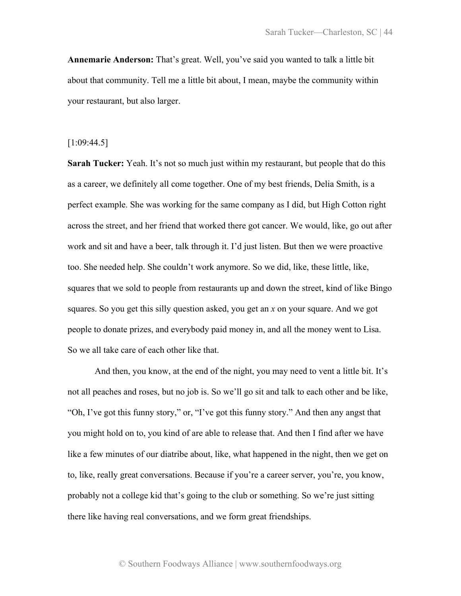**Annemarie Anderson:** That's great. Well, you've said you wanted to talk a little bit about that community. Tell me a little bit about, I mean, maybe the community within your restaurant, but also larger.

## [1:09:44.5]

**Sarah Tucker:** Yeah. It's not so much just within my restaurant, but people that do this as a career, we definitely all come together. One of my best friends, Delia Smith, is a perfect example. She was working for the same company as I did, but High Cotton right across the street, and her friend that worked there got cancer. We would, like, go out after work and sit and have a beer, talk through it. I'd just listen. But then we were proactive too. She needed help. She couldn't work anymore. So we did, like, these little, like, squares that we sold to people from restaurants up and down the street, kind of like Bingo squares. So you get this silly question asked, you get an *x* on your square. And we got people to donate prizes, and everybody paid money in, and all the money went to Lisa. So we all take care of each other like that.

And then, you know, at the end of the night, you may need to vent a little bit. It's not all peaches and roses, but no job is. So we'll go sit and talk to each other and be like, "Oh, I've got this funny story," or, "I've got this funny story." And then any angst that you might hold on to, you kind of are able to release that. And then I find after we have like a few minutes of our diatribe about, like, what happened in the night, then we get on to, like, really great conversations. Because if you're a career server, you're, you know, probably not a college kid that's going to the club or something. So we're just sitting there like having real conversations, and we form great friendships.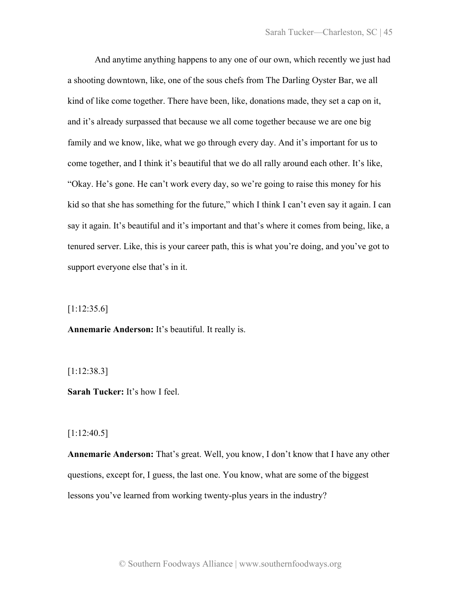And anytime anything happens to any one of our own, which recently we just had a shooting downtown, like, one of the sous chefs from The Darling Oyster Bar, we all kind of like come together. There have been, like, donations made, they set a cap on it, and it's already surpassed that because we all come together because we are one big family and we know, like, what we go through every day. And it's important for us to come together, and I think it's beautiful that we do all rally around each other. It's like, "Okay. He's gone. He can't work every day, so we're going to raise this money for his kid so that she has something for the future," which I think I can't even say it again. I can say it again. It's beautiful and it's important and that's where it comes from being, like, a tenured server. Like, this is your career path, this is what you're doing, and you've got to support everyone else that's in it.

[1:12:35.6]

**Annemarie Anderson:** It's beautiful. It really is.

[1:12:38.3]

**Sarah Tucker:** It's how I feel.

[1:12:40.5]

**Annemarie Anderson:** That's great. Well, you know, I don't know that I have any other questions, except for, I guess, the last one. You know, what are some of the biggest lessons you've learned from working twenty-plus years in the industry?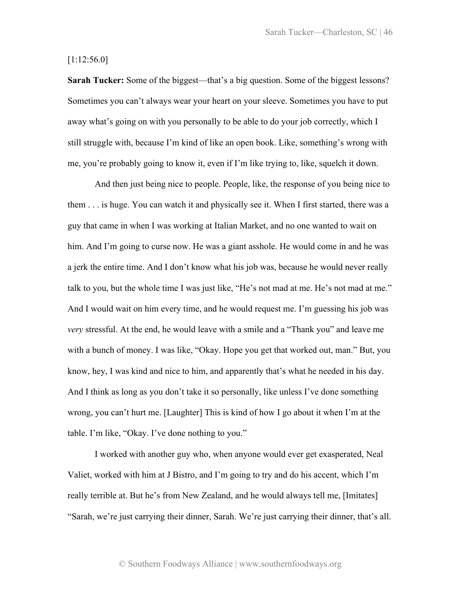# [1:12:56.0]

**Sarah Tucker:** Some of the biggest—that's a big question. Some of the biggest lessons? Sometimes you can't always wear your heart on your sleeve. Sometimes you have to put away what's going on with you personally to be able to do your job correctly, which I still struggle with, because I'm kind of like an open book. Like, something's wrong with me, you're probably going to know it, even if I'm like trying to, like, squelch it down.

And then just being nice to people. People, like, the response of you being nice to them . . . is huge. You can watch it and physically see it. When I first started, there was a guy that came in when I was working at Italian Market, and no one wanted to wait on him. And I'm going to curse now. He was a giant asshole. He would come in and he was a jerk the entire time. And I don't know what his job was, because he would never really talk to you, but the whole time I was just like, "He's not mad at me. He's not mad at me." And I would wait on him every time, and he would request me. I'm guessing his job was *very* stressful. At the end, he would leave with a smile and a "Thank you" and leave me with a bunch of money. I was like, "Okay. Hope you get that worked out, man." But, you know, hey, I was kind and nice to him, and apparently that's what he needed in his day. And I think as long as you don't take it so personally, like unless I've done something wrong, you can't hurt me. [Laughter] This is kind of how I go about it when I'm at the table. I'm like, "Okay. I've done nothing to you."

I worked with another guy who, when anyone would ever get exasperated, Neal Valiet, worked with him at J Bistro, and I'm going to try and do his accent, which I'm really terrible at. But he's from New Zealand, and he would always tell me, [Imitates] "Sarah, we're just carrying their dinner, Sarah. We're just carrying their dinner, that's all.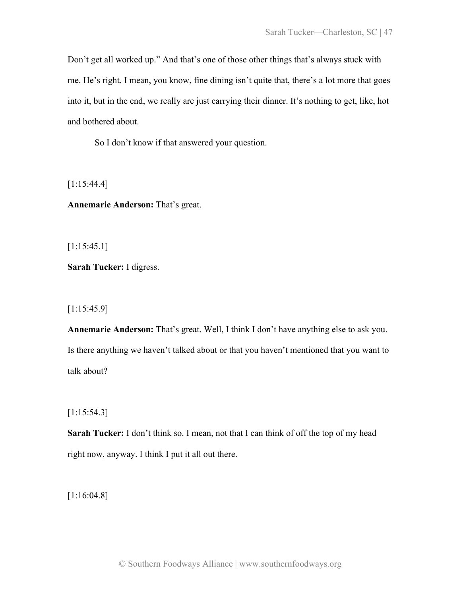Don't get all worked up." And that's one of those other things that's always stuck with me. He's right. I mean, you know, fine dining isn't quite that, there's a lot more that goes into it, but in the end, we really are just carrying their dinner. It's nothing to get, like, hot and bothered about.

So I don't know if that answered your question.

[1:15:44.4]

**Annemarie Anderson:** That's great.

[1:15:45.1]

**Sarah Tucker:** I digress.

[1:15:45.9]

**Annemarie Anderson:** That's great. Well, I think I don't have anything else to ask you. Is there anything we haven't talked about or that you haven't mentioned that you want to talk about?

[1:15:54.3]

**Sarah Tucker:** I don't think so. I mean, not that I can think of off the top of my head right now, anyway. I think I put it all out there.

[1:16:04.8]